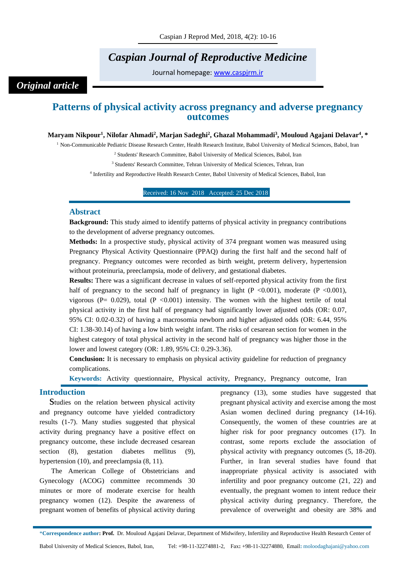# *Caspian Journal of Reproductive Medicine*

Journal homepage: [www.caspjrm.ir](http://www.caspjrm.ir/)

## *Original article*

## **Patterns of physical activity across pregnancy and adverse pregnancy outcomes**

#### **Maryam Nikpour<sup>1</sup> , Nilofar Ahmadi<sup>2</sup> , Marjan Sadeghi<sup>2</sup> , Ghazal Mohammadi<sup>3</sup> , Mouloud Agajani Delavar<sup>4</sup> , \***

<sup>1</sup> Non-Communicable Pediatric Disease Research Center, Health Research Institute, Babol University of Medical Sciences, Babol, Iran

<sup>2</sup> Students' Research Committee, Babol University of Medical Sciences, Babol, Iran

<sup>3</sup> Students' Research Committee, Tehran University of Medical Sciences, Tehran, Iran

4 Infertility and Reproductive Health Research Center, Babol University of Medical Sciences, Babol, Iran

Received: 16 Nov 2018 Accepted: 25 Dec 2018 1

#### **Abstract**

**Background:** This study aimed to identify patterns of physical activity in pregnancy contributions to the development of adverse pregnancy outcomes.

**Methods:** In a prospective study, physical activity of 374 pregnant women was measured using Pregnancy Physical Activity Questionnaire (PPAQ) during the first half and the second half of pregnancy. Pregnancy outcomes were recorded as birth weight, preterm delivery, hypertension without proteinuria, preeclampsia, mode of delivery, and gestational diabetes.

**Results:** There was a significant decrease in values of self-reported physical activity from the first half of pregnancy to the second half of pregnancy in light  $(P \le 0.001)$ , moderate  $(P \le 0.001)$ , vigorous (P=  $0.029$ ), total (P <0.001) intensity. The women with the highest tertile of total physical activity in the first half of pregnancy had significantly lower adjusted odds (OR: 0.07, 95% CI: 0.02-0.32) of having a macrosomia newborn and higher adjusted odds (OR: 6.44, 95% CI: 1.38-30.14) of having a low birth weight infant. The risks of cesarean section for women in the highest category of total physical activity in the second half of pregnancy was higher those in the lower and lowest category (OR: 1.89, 95% CI: 0.29-3.36).

**Conclusion:** It is necessary to emphasis on physical activity guideline for reduction of pregnancy complications.

**Keywords:** Activity questionnaire, Physical activity, Pregnancy, Pregnancy outcome, Iran

#### **Introduction**

Studies on the relation between physical activity and pregnancy outcome have yielded contradictory results (1-7). Many studies suggested that physical activity during pregnancy have a positive effect on pregnancy outcome, these include decreased cesarean section (8), gestation diabetes mellitus (9), hypertension (10), and preeclampsia (8, 11).

The American College of Obstetricians and Gynecology (ACOG) committee recommends 30 minutes or more of moderate exercise for health pregnancy women (12). Despite the awareness of pregnant women of benefits of physical activity during

pregnancy (13), some studies have suggested that pregnant physical activity and exercise among the most Asian women declined during pregnancy (14-16). Consequently, the women of these countries are at higher risk for poor pregnancy outcomes (17). In contrast, some reports exclude the association of physical activity with pregnancy outcomes (5, 18-20). Further, in Iran several studies have found that inappropriate physical activity is associated with infertility and poor pregnancy outcome (21, 22) and eventually, the pregnant women to intent reduce their physical activity during pregnancy. Therefore, the prevalence of overweight and obesity are 38% and

\***Correspondence author: Prof.** Dr. Mouloud Agajani Delavar, Department of Midwifery, Infertility and Reproductive Health Research Center of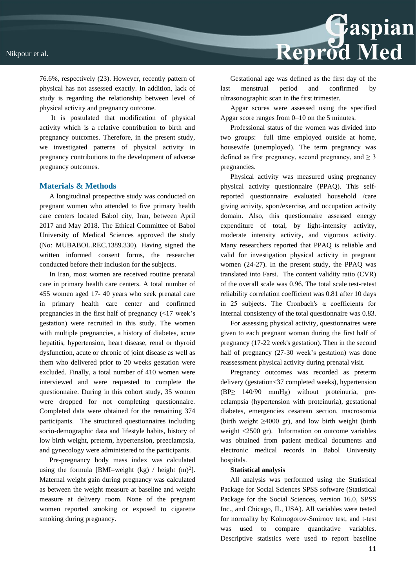76.6%, respectively (23). However, recently pattern of physical has not assessed exactly. In addition, lack of study is regarding the relationship between level of physical activity and pregnancy outcome.

It is postulated that modification of physical activity which is a relative contribution to birth and pregnancy outcomes. Therefore, in the present study, we investigated patterns of physical activity in pregnancy contributions to the development of adverse pregnancy outcomes.

#### **Materials & Methods**

A longitudinal prospective study was conducted on pregnant women who attended to five primary health care centers located Babol city, Iran, between April 2017 and May 2018. The Ethical Committee of Babol University of Medical Sciences approved the study (No: MUBABOL.REC.1389.330). Having signed the written informed consent forms, the researcher conducted before their inclusion for the subjects.

In Iran, most women are received routine prenatal care in primary health care centers. A total number of 455 women aged 17- 40 years who seek prenatal care in primary health care center and confirmed pregnancies in the first half of pregnancy  $\langle$  <17 week's gestation) were recruited in this study. The women with multiple pregnancies, a history of diabetes, acute hepatitis, hypertension, heart disease, renal or thyroid dysfunction, acute or chronic of joint disease as well as them who delivered prior to 20 weeks gestation were excluded. Finally, a total number of 410 women were interviewed and were requested to complete the questionnaire. During in this cohort study, 35 women were dropped for not completing questionnaire. Completed data were obtained for the remaining 374 participants. The structured questionnaires including socio-demographic data and lifestyle habits, history of low birth weight, preterm, hypertension, preeclampsia, and gynecology were administered to the participants.

Pre-pregnancy body mass index was calculated using the formula [BMI=weight  $(kg) /$  height  $(m)^2$ ]. Maternal weight gain during pregnancy was calculated as between the weight measure at baseline and weight measure at delivery room. None of the pregnant women reported smoking or exposed to cigarette smoking during pregnancy.

Gestational age was defined as the first day of the last menstrual period and confirmed by ultrasonographic scan in the first trimester.

Reprod Med

Apgar scores were assessed using the specified Apgar score ranges from 0–10 on the 5 minutes.

Professional status of the women was divided into two groups: full time employed outside at home, housewife (unemployed). The term pregnancy was defined as first pregnancy, second pregnancy, and  $\geq 3$ pregnancies.

Physical activity was measured using pregnancy physical activity questionnaire (PPAQ). This selfreported questionnaire evaluated household /care giving activity, sport/exercise, and occupation activity domain. Also, this questionnaire assessed energy expenditure of total, by light-intensity activity, moderate intensity activity, and vigorous activity. Many researchers reported that PPAQ is reliable and valid for investigation physical activity in pregnant women (24-27). In the present study, the PPAQ was translated into Farsi. The content validity ratio (CVR) of the overall scale was 0.96. The total scale test-retest reliability correlation coefficient was 0.81 after 10 days in 25 subjects. The Cronbach's α coefficients for internal consistency of the total questionnaire was 0.83.

For assessing physical activity, questionnaires were given to each pregnant woman during the first half of pregnancy (17-22 week's gestation). Then in the second half of pregnancy (27-30 week's gestation) was done reassessment physical activity during prenatal visit.

Pregnancy outcomes was recorded as preterm delivery (gestation<37 completed weeks), hypertension (BP≥ 140/90 mmHg) without proteinuria, preeclampsia (hypertension with proteinuria), gestational diabetes, emergencies cesarean section, macrosomia (birth weight  $\geq 4000$  gr), and low birth weight (birth weight <2500 gr). Information on outcome variables was obtained from patient medical documents and electronic medical records in Babol University hospitals.

#### **Statistical analysis**

All analysis was performed using the Statistical Package for Social Sciences SPSS software (Statistical Package for the Social Sciences, version 16.0, SPSS Inc., and Chicago, IL, USA). All variables were tested for normality by Kolmogorov-Smirnov test, and t-test was used to compare quantitative variables. Descriptive statistics were used to report baseline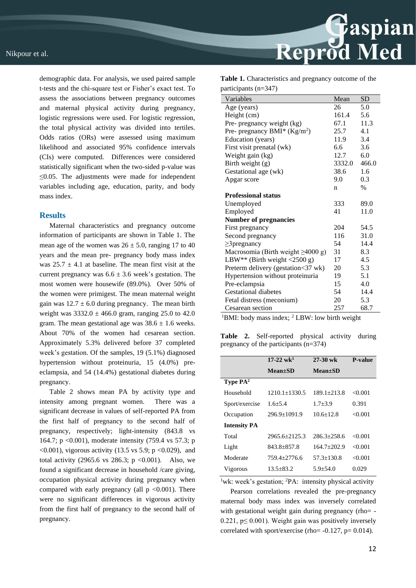demographic data. For analysis, we used paired sample t-tests and the chi-square test or Fisher's exact test. To assess the associations between pregnancy outcomes and maternal physical activity during pregnancy, logistic regressions were used. For logistic regression, the total physical activity was divided into tertiles. Odds ratios (ORs) were assessed using maximum likelihood and associated 95% confidence intervals (CIs) were computed. Differences were considered statistically significant when the two-sided p-value was ≤0.05. The adjustments were made for independent variables including age, education, parity, and body mass index.

#### **Results**

Maternal characteristics and pregnancy outcome information of participants are shown in Table 1. The mean age of the women was  $26 \pm 5.0$ , ranging 17 to 40 years and the mean pre- pregnancy body mass index was  $25.7 \pm 4.1$  at baseline. The mean first visit at the current pregnancy was  $6.6 \pm 3.6$  week's gestation. The most women were housewife (89.0%). Over 50% of the women were primigest. The mean maternal weight gain was  $12.7 \pm 6.0$  during pregnancy. The mean birth weight was  $3332.0 \pm 466.0$  gram, ranging 25.0 to 42.0 gram. The mean gestational age was  $38.6 \pm 1.6$  weeks. About 70% of the women had cesarean section. Approximately 5.3% delivered before 37 completed week's gestation. Of the samples, 19 (5.1%) diagnosed hypertension without proteinuria, 15 (4.0%) preeclampsia, and 54 (14.4%) gestational diabetes during pregnancy.

Table 2 shows mean PA by activity type and intensity among pregnant women. There was a significant decrease in values of self-reported PA from the first half of pregnancy to the second half of pregnancy, respectively; light-intensity (843.8 vs 164.7; p <0.001), moderate intensity (759.4 vs 57.3; p  $\leq 0.001$ ), vigorous activity (13.5 vs 5.9; p $\leq 0.029$ ), and total activity (2965.6 vs 286.3;  $p \le 0.001$ ). Also, we found a significant decrease in household /care giving, occupation physical activity during pregnancy when compared with early pregnancy (all  $p \leq 0.001$ ). There were no significant differences in vigorous activity from the first half of pregnancy to the second half of pregnancy.

Reprod Med

**Table 1.** Characteristics and pregnancy outcome of the participants (n=347)

| Variables                                            | Mean   | SD    |
|------------------------------------------------------|--------|-------|
| Age (years)                                          | 26     | 5.0   |
| Height (cm)                                          | 161.4  | 5.6   |
| Pre- pregnancy weight (kg)                           | 67.1   | 11.3  |
| Pre- pregnancy BMI* $(Kg/m2)$                        | 25.7   | 4.1   |
| Education (years)                                    | 11.9   | 3.4   |
| First visit prenatal (wk)                            | 6.6    | 3.6   |
| Weight gain (kg)                                     | 12.7   | 6.0   |
| Birth weight (g)                                     | 3332.0 | 466.0 |
| Gestational age (wk)                                 | 38.6   | 1.6   |
| Apgar score                                          | 9.0    | 0.3   |
|                                                      | n      | $\%$  |
| <b>Professional status</b>                           |        |       |
| Unemployed                                           | 333    | 89.0  |
| Employed                                             | 41     | 11.0  |
| <b>Number of pregnancies</b>                         |        |       |
| First pregnancy                                      | 204    | 54.5  |
| Second pregnancy                                     | 116    | 31.0  |
| $\geq$ 3 pregnancy                                   | 54     | 14.4  |
| Macrosomia (Birth weight $\geq$ 4000 g)              | 31     | 8.3   |
| LBW** (Birth weight $\langle 2500 \text{ g} \rangle$ | 17     | 4.5   |
| Preterm delivery (gestation<37 wk)                   | 20     | 5.3   |
| Hypertension without proteinuria                     | 19     | 5.1   |
| Pre-eclampsia                                        | 15     | 4.0   |
| <b>Gestational diabetes</b>                          | 54     | 14.4  |
| Fetal distress (meconium)                            | 20     | 5.3   |
| Cesarean section                                     | 257    | 68.7  |

<sup>1</sup>BMI: body mass index;  $^2$  LBW: low birth weight

**Table 2.** Self-reported physical activity during pregnancy of the participants (n=374)

|                             | $17-22 \text{ wk}^1$ | $27-30$ wk      | <b>P-value</b> |
|-----------------------------|----------------------|-----------------|----------------|
|                             | <b>Mean</b> ±SD      | $Mean \pm SD$   |                |
| <b>Type PA</b> <sup>2</sup> |                      |                 |                |
| Household                   | $1210.1 + 1330.5$    | $189.1 + 213.8$ | <0.001         |
| Sport/exercise              | $1.6 + 5.4$          | $1.7 + 3.9$     | 0.391          |
| Occupation                  | $296.9 + 1091.9$     | $10.6 + 12.8$   | <0.001         |
| <b>Intensity PA</b>         |                      |                 |                |
| Total                       | 2965.6+2125.3        | $286.3 + 258.6$ | <0.001         |
| Light                       | 843.8+857.8          | $164.7+202.9$   | < 0.001        |
| Moderate                    | 759.4+2776.6         | $57.3 + 130.8$  | <0.001         |
| Vigorous                    | $13.5 + 83.2$        | $5.9 + 54.0$    | 0.029          |

<sup>1</sup>wk: week's gestation; <sup>2</sup>PA: intensity physical activity

Pearson correlations revealed the pre-pregnancy maternal body mass index was inversely correlated with gestational weight gain during pregnancy (rho= -0.221,  $p \le 0.001$ ). Weight gain was positively inversely correlated with sport/exercise (rho=  $-0.127$ , p= 0.014).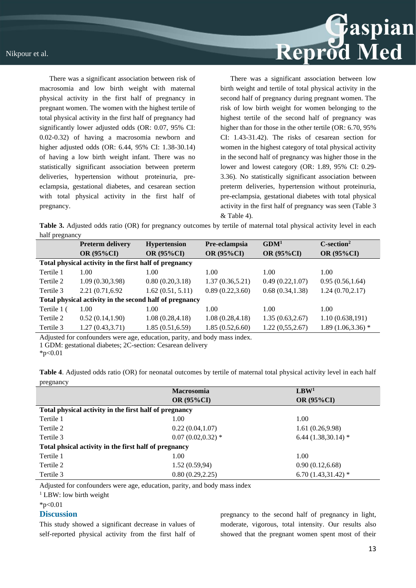

There was a significant association between risk of macrosomia and low birth weight with maternal physical activity in the first half of pregnancy in pregnant women. The women with the highest tertile of total physical activity in the first half of pregnancy had significantly lower adjusted odds (OR: 0.07, 95% CI: 0.02-0.32) of having a macrosomia newborn and higher adjusted odds (OR: 6.44, 95% CI: 1.38-30.14) of having a low birth weight infant. There was no statistically significant association between preterm deliveries, hypertension without proteinuria, preeclampsia, gestational diabetes, and cesarean section with total physical activity in the first half of pregnancy.

There was a significant association between low birth weight and tertile of total physical activity in the second half of pregnancy during pregnant women. The risk of low birth weight for women belonging to the highest tertile of the second half of pregnancy was higher than for those in the other tertile (OR: 6.70, 95%) CI: 1.43-31.42). The risks of cesarean section for women in the highest category of total physical activity in the second half of pregnancy was higher those in the lower and lowest category (OR: 1.89, 95% CI: 0.29- 3.36). No statistically significant association between preterm deliveries, hypertension without proteinuria, pre-eclampsia, gestational diabetes with total physical activity in the first half of pregnancy was seen (Table 3 & Table 4).

**Table 3.** Adjusted odds ratio (OR) for pregnancy outcomes by tertile of maternal total physical activity level in each half pregnancy

|                                                         | <b>Preterm delivery</b> | <b>Hypertension</b> | Pre-eclampsia     | GDM <sup>1</sup> | $C$ -section <sup>2</sup> |
|---------------------------------------------------------|-------------------------|---------------------|-------------------|------------------|---------------------------|
|                                                         | OR (95%CI)              | OR (95%CI)          | <b>OR (95%CI)</b> | OR (95%CI)       | <b>OR (95%CI)</b>         |
| Total physical activity in the first half of pregnancy  |                         |                     |                   |                  |                           |
| Tertile 1                                               | 1.00                    | 1.00                | 1.00              | 1.00             | 1.00                      |
| Tertile 2                                               | 1.09(0.30, 3.98)        | 0.80(0.20, 3.18)    | 1.37(0.36, 5.21)  | 0.49(0.22, 1.07) | 0.95(0.56, 1.64)          |
| Tertile 3                                               | 2.21 (0.71,6.92)        | 1.62(0.51, 5.11)    | 0.89(0.22, 3.60)  | 0.68(0.34, 1.38) | 1.24(0.70, 2.17)          |
| Total physical activity in the second half of pregnancy |                         |                     |                   |                  |                           |
| Tertile 1 (                                             | 1.00                    | 1.00                | 1.00              | 1.00             | 1.00                      |
| Tertile 2                                               | 0.52(0.14, 1.90)        | 1.08(0.28, 4.18)    | 1.08(0.28, 4.18)  | 1.35(0.63, 2.67) | 1.10(0.638,191)           |
| Tertile 3                                               | 1.27(0.43, 3.71)        | 1.85(0.51, 6.59)    | 1.85(0.52, 6.60)  | 1.22(0,55,2.67)  | $1.89(1.06, 3.36)$ *      |

Adjusted for confounders were age, education, parity, and body mass index.

1 GDM: gestational diabetes; 2C-section: Cesarean delivery

 $*p<0.01$ 

**Table 4**. Adjusted odds ratio (OR) for neonatal outcomes by tertile of maternal total physical activity level in each half pregnancy

|                                                        | <b>Macrosomia</b>    | LBW <sup>1</sup>       |  |  |  |
|--------------------------------------------------------|----------------------|------------------------|--|--|--|
|                                                        | <b>OR (95%CI)</b>    | <b>OR (95%CI)</b>      |  |  |  |
| Total physical activity in the first half of pregnancy |                      |                        |  |  |  |
| Tertile 1                                              | 1.00                 | 1.00                   |  |  |  |
| Tertile 2                                              | 0.22(0.04, 1.07)     | 1.61(0.26,9.98)        |  |  |  |
| Tertile 3                                              | $0.07(0.02, 0.32)$ * | 6.44 $(1.38, 30.14)$ * |  |  |  |
| Total phsical activity in the first half of pregnancy  |                      |                        |  |  |  |
| Tertile 1                                              | 1.00                 | 1.00                   |  |  |  |
| Tertile 2                                              | 1.52(0.59,94)        | 0.90(0.12, 6.68)       |  |  |  |
| Tertile 3                                              | 0.80(0.29, 2.25)     | $6.70(1.43,31.42)$ *   |  |  |  |

Adjusted for confounders were age, education, parity, and body mass index

<sup>1</sup> LBW: low birth weight

 $*p<0.01$ 

#### **Discussion**

This study showed a significant decrease in values of self-reported physical activity from the first half of pregnancy to the second half of pregnancy in light, moderate, vigorous, total intensity. Our results also showed that the pregnant women spent most of their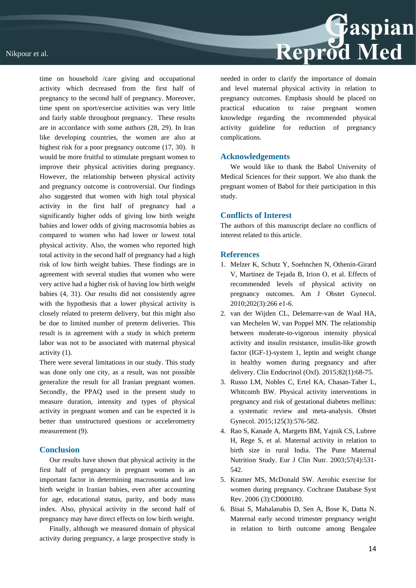## Nikpour et al.



time on household /care giving and occupational activity which decreased from the first half of pregnancy to the second half of pregnancy. Moreover, time spent on sport/exercise activities was very little and fairly stable throughout pregnancy. These results are in accordance with some authors (28, 29). In Iran like developing countries, the women are also at highest risk for a poor pregnancy outcome (17, 30). It would be more fruitful to stimulate pregnant women to improve their physical activities during pregnancy. However, the relationship between physical activity and pregnancy outcome is controversial. Our findings also suggested that women with high total physical activity in the first half of pregnancy had a significantly higher odds of giving low birth weight babies and lower odds of giving macrosomia babies as compared to women who had lower or lowest total physical activity. Also, the women who reported high total activity in the second half of pregnancy had a high risk of low birth weight babies. These findings are in agreement with several studies that women who were very active had a higher risk of having low birth weight babies (4, 31). Our results did not consistently agree with the hypothesis that a lower physical activity is closely related to preterm delivery, but this might also be due to limited number of preterm deliveries. This result is in agreement with a study in which preterm labor was not to be associated with maternal physical activity (1).

There were several limitations in our study. This study was done only one city, as a result, was not possible generalize the result for all Iranian pregnant women. Secondly, the PPAQ used in the present study to measure duration, intensity and types of physical activity in pregnant women and can be expected it is better than unstructured questions or accelerometry measurement (9).

## **Conclusion**

Our results have shown that physical activity in the first half of pregnancy in pregnant women is an important factor in determining macrosomia and low birth weight in Iranian babies, even after accounting for age, educational status, parity, and body mass index. Also, physical activity in the second half of pregnancy may have direct effects on low birth weight.

Finally, although we measured domain of physical activity during pregnancy, a large prospective study is needed in order to clarify the importance of domain and level maternal physical activity in relation to pregnancy outcomes. Emphasis should be placed on practical education to raise pregnant women knowledge regarding the recommended physical activity guideline for reduction of pregnancy complications.

## **Acknowledgements**

We would like to thank the Babol University of Medical Sciences for their support. We also thank the pregnant women of Babol for their participation in this study.

#### **Conflicts of Interest**

The authors of this manuscript declare no conflicts of interest related to this article.

## **References**

- 1. Melzer K, Schutz Y, Soehnchen N, Othenin-Girard V, Martinez de Tejada B, Irion O, et al. Effects of recommended levels of physical activity on pregnancy outcomes. Am J Obstet Gynecol. 2010;202(3):266 e1-6.
- 2. van der Wijden CL, Delemarre-van de Waal HA, van Mechelen W, van Poppel MN. The relationship between moderate-to-vigorous intensity physical activity and insulin resistance, insulin-like growth factor (IGF-1)-system 1, leptin and weight change in healthy women during pregnancy and after delivery. Clin Endocrinol (Oxf). 2015;82(1):68-75.
- 3. Russo LM, Nobles C, Ertel KA, Chasan-Taber L, Whitcomb BW. Physical activity interventions in pregnancy and risk of gestational diabetes mellitus: a systematic review and meta-analysis. Obstet Gynecol. 2015;125(3):576-582.
- 4. Rao S, Kanade A, Margetts BM, Yajnik CS, Lubree H, Rege S, et al. Maternal activity in relation to birth size in rural India. The Pune Maternal Nutrition Study. Eur J Clin Nutr. 2003;57(4):531- 542.
- 5. Kramer MS, McDonald SW. Aerobic exercise for women during pregnancy. Cochrane Database Syst Rev. 2006 (3):CD000180.
- 6. Bisai S, Mahalanabis D, Sen A, Bose K, Datta N. Maternal early second trimester pregnancy weight in relation to birth outcome among Bengalee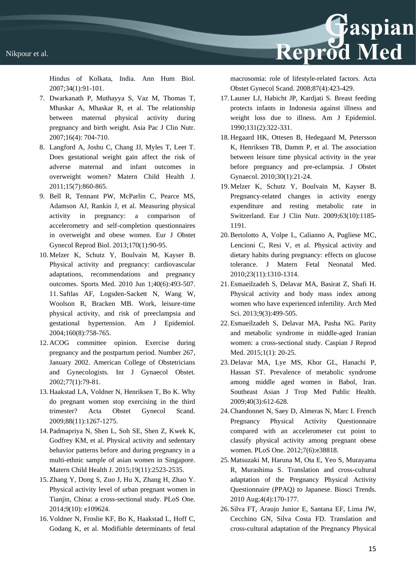Hindus of Kolkata, India. Ann Hum Biol. 2007;34(1):91-101.

- 7. Dwarkanath P, Muthayya S, Vaz M, Thomas T, Mhaskar A, Mhaskar R, et al. The relationship between maternal physical activity during pregnancy and birth weight. Asia Pac J Clin Nutr. 2007;16(4): 704-710.
- 8. Langford A, Joshu C, Chang JJ, Myles T, Leet T. Does gestational weight gain affect the risk of adverse maternal and infant outcomes in overweight women? Matern Child Health J. 2011;15(7):860-865.
- 9. Bell R, Tennant PW, McParlin C, Pearce MS, Adamson AJ, Rankin J, et al. Measuring physical activity in pregnancy: a comparison of accelerometry and self-completion questionnaires in overweight and obese women. Eur J Obstet Gynecol Reprod Biol. 2013;170(1):90-95.
- 10. Melzer K, Schutz Y, Boulvain M, Kayser B. Physical activity and pregnancy: cardiovascular adaptations, recommendations and pregnancy outcomes. Sports Med. 2010 Jun 1;40(6):493-507. 11. Saftlas AF, Logsden-Sackett N, Wang W, Woolson R, Bracken MB. Work, leisure-time physical activity, and risk of preeclampsia and gestational hypertension. Am J Epidemiol. 2004;160(8):758-765.
- 12. ACOG committee opinion. Exercise during pregnancy and the postpartum period. Number 267, January 2002. American College of Obstetricians and Gynecologists. Int J Gynaecol Obstet. 2002;77(1):79-81.
- 13. Haakstad LA, Voldner N, Henriksen T, Bo K. Why do pregnant women stop exercising in the third trimester? Acta Obstet Gynecol Scand. 2009;88(11):1267-1275.
- 14. Padmapriya N, Shen L, Soh SE, Shen Z, Kwek K, Godfrey KM, et al. Physical activity and sedentary behavior patterns before and during pregnancy in a multi-ethnic sample of asian women in Singapore. Matern Child Health J. 2015;19(11):2523-2535.
- 15. Zhang Y, Dong S, Zuo J, Hu X, Zhang H, Zhao Y. Physical activity level of urban pregnant women in Tianjin, China: a cross-sectional study. PLoS One. 2014;9(10): e109624.
- 16. Voldner N, Froslie KF, Bo K, Haakstad L, Hoff C, Godang K, et al. Modifiable determinants of fetal

macrosomia: role of lifestyle-related factors. Acta Obstet Gynecol Scand. 2008;87(4):423-429.

- 17. Launer LJ, Habicht JP, Kardjati S. Breast feeding protects infants in Indonesia against illness and weight loss due to illness. Am J Epidemiol. 1990;131(2):322-331.
- 18. Hegaard HK, Ottesen B, Hedegaard M, Petersson K, Henriksen TB, Damm P, et al. The association between leisure time physical activity in the year before pregnancy and pre-eclampsia. J Obstet Gynaecol. 2010;30(1):21-24.
- 19. Melzer K, Schutz Y, Boulvain M, Kayser B. Pregnancy-related changes in activity energy expenditure and resting metabolic rate in Switzerland. Eur J Clin Nutr. 2009;63(10):1185- 1191.
- 20.Bertolotto A, Volpe L, Calianno A, Pugliese MC, Lencioni C, Resi V, et al. Physical activity and dietary habits during pregnancy: effects on glucose tolerance. J Matern Fetal Neonatal Med. 2010;23(11):1310-1314.
- 21. Esmaeilzadeh S, Delavar MA, Basirat Z, Shafi H. Physical activity and body mass index among women who have experienced infertility. Arch Med Sci. 2013;9(3):499-505.
- 22. Esmaeilzadeh S, Delavar MA, Pasha NG. Parity and metabolic syndrome in middle-aged Iranian women: a cross-sectional study. Caspian J Reprod Med. 2015;1(1): 20-25.
- 23. Delavar MA, Lye MS, Khor GL, Hanachi P, Hassan ST. Prevalence of metabolic syndrome among middle aged women in Babol, Iran. Southeast Asian J Trop Med Public Health. 2009;40(3):612-628.
- 24.Chandonnet N, Saey D, Almeras N, Marc I. French Pregnancy Physical Activity Questionnaire compared with an accelerometer cut point to classify physical activity among pregnant obese women. PLoS One. 2012;7(6):e38818.
- 25. Matsuzaki M, Haruna M, Ota E, Yeo S, Murayama R, Murashima S. Translation and cross-cultural adaptation of the Pregnancy Physical Activity Questionnaire (PPAQ) to Japanese. Biosci Trends. 2010 Aug;4(4):170-177.
- 26. Silva FT, Araujo Junior E, Santana EF, Lima JW, Cecchino GN, Silva Costa FD. Translation and cross-cultural adaptation of the Pregnancy Physical